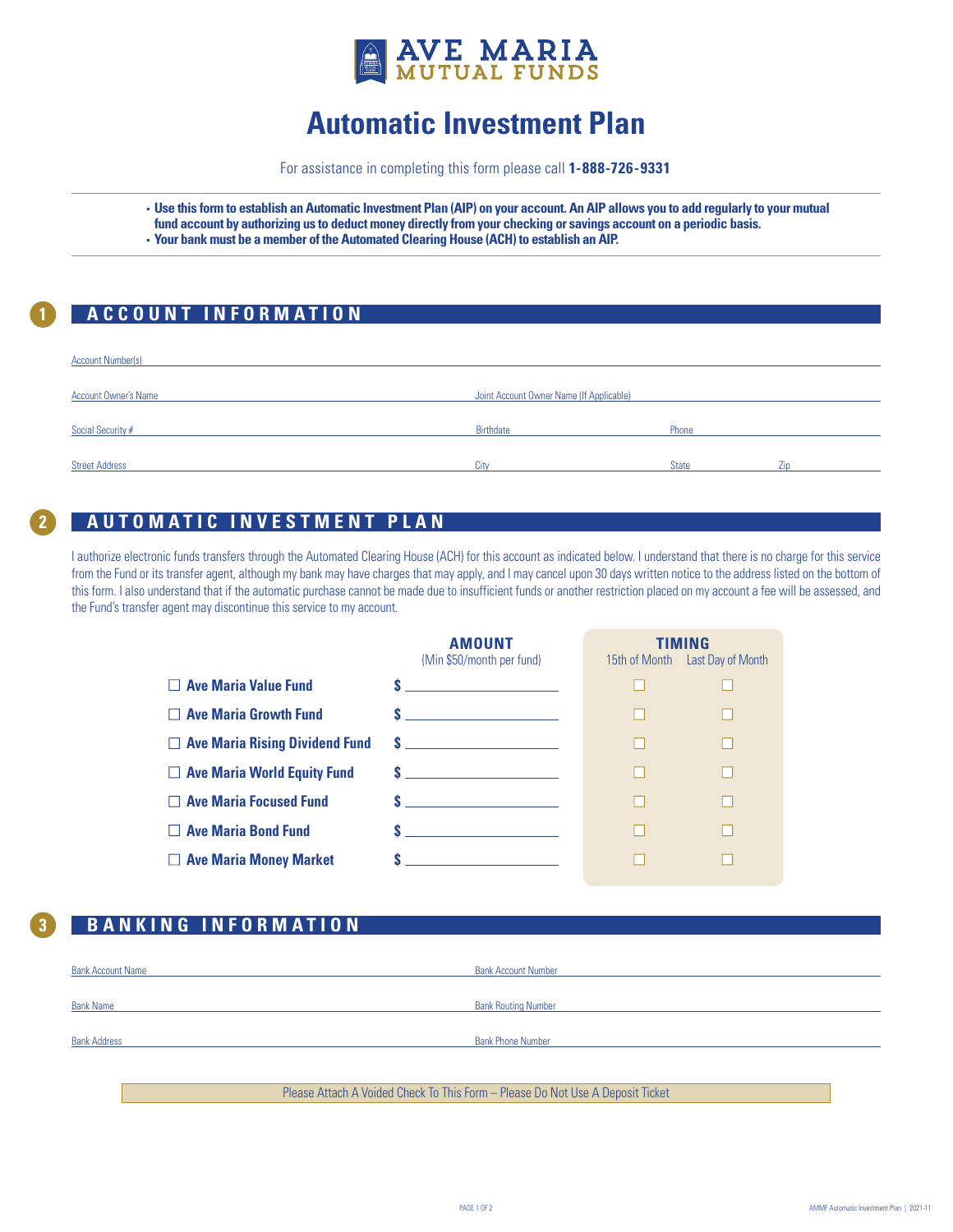

# **Automatic Investment Plan**

For assistance in completing this form please call **1-888-726-9331**

- **Use this form to establish an Automatic Investment Plan (AIP) on your account. An AIP allows you to add regularly to your mutual fund account by authorizing us to deduct money directly from your checking or savings account on a periodic basis.**
- **Your bank must be a member of the Automated Clearing House (ACH) to establish an AIP.**

### **1 ACCOUNT INFORMATION**

| <b>Account Number(s)</b>    |                                          |              |  |
|-----------------------------|------------------------------------------|--------------|--|
| <b>Account Owner's Name</b> | Joint Account Owner Name (If Applicable) |              |  |
| Social Security #           | Birthdate                                | Phone        |  |
| <b>Street Address</b>       | City                                     | <b>State</b> |  |

#### **12 ACCOUNT INFORMATION AUTOMATIC INVESTMENT PLAN**

I authorize electronic funds transfers through the Automated Clearing House (ACH) for this account as indicated below. I understand that there is no charge for this service from the Fund or its transfer agent, although my bank may have charges that may apply, and I may cancel upon 30 days written notice to the address listed on the bottom of this form. I also understand that if the automatic purchase cannot be made due to insufficient funds or another restriction placed on my account a fee will be assessed, and the Fund's transfer agent may discontinue this service to my account.

|                                       | <b>AMOUNT</b><br>TIMING<br>(Min \$50/month per fund)<br>15th of Month Last Day of Month                                                                                                                                       |  |  |
|---------------------------------------|-------------------------------------------------------------------------------------------------------------------------------------------------------------------------------------------------------------------------------|--|--|
| <b>Ave Maria Value Fund</b>           | <u> 1980 - Johann Barn, mars an t-Amerikaansk kommunister (</u>                                                                                                                                                               |  |  |
| $\Box$ Ave Maria Growth Fund          | <u> 1999 - Johann Barbara, martxa al</u>                                                                                                                                                                                      |  |  |
| $\Box$ Ave Maria Rising Dividend Fund |                                                                                                                                                                                                                               |  |  |
| $\Box$ Ave Maria World Equity Fund    | $S$ and $S$ and $S$ and $S$ and $S$ and $S$ and $S$ and $S$ and $S$ and $S$ and $S$ and $S$ and $S$ and $S$ and $S$ and $S$ and $S$ and $S$ and $S$ and $S$ and $S$ and $S$ and $S$ and $S$ and $S$ and $S$ and $S$ and $S$ a |  |  |
| <b>Ave Maria Focused Fund</b>         | <u> 1990 - Johann Marie Barn, mars an t-</u>                                                                                                                                                                                  |  |  |
| <b>Ave Maria Bond Fund</b>            | <u> 1990 - Johann Barbara, martxa a</u>                                                                                                                                                                                       |  |  |
| $\Box$ Ave Maria Money Market         |                                                                                                                                                                                                                               |  |  |

## **3 BANKING INFORMATION**

| <b>Bank Account Name</b> | <b>Bank Account Number</b> |
|--------------------------|----------------------------|
|                          |                            |
| <b>Bank Name</b>         | <b>Bank Routing Number</b> |
| <b>Bank Address</b>      | <b>Bank Phone Number</b>   |
|                          |                            |
|                          |                            |

Please Attach A Voided Check To This Form – Please Do Not Use A Deposit Ticket